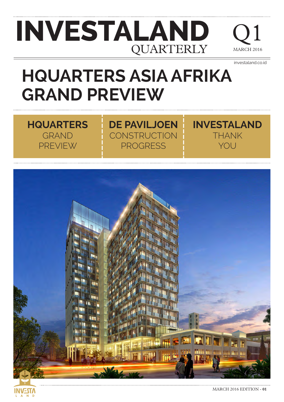### **INVESTALAND QUARTERLY**

Q1  $H$  2016

investaland.co.id

**INVESTALAND**

THANK

YOU

### **HQUARTERS ASIA AFRIKA GRAND PREVIEW**

**DE PAVILJOEN**

**CONSTRUCTION** 

PROGRESS

#### **HQUARTERS** GRAND PREVIEW

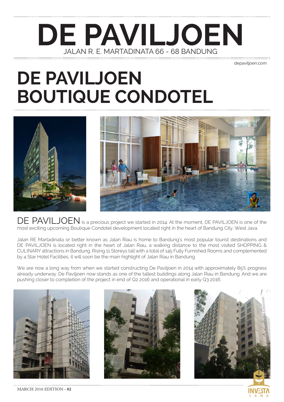#### **DE PAVILJOEN** JALAN R. E. MARTADINATA 66 - 68 BANDUNG

depaviljoen.com

#### **DE PAVILJOEN BOUTIQUE CONDOTEL**





DE PAVILJOEN is a precious project we started in 2014. At the moment, DE PAVILJOEN is one of the most exciting upcoming Boutique Condotel development located right in the heart of Bandung City, West Java.

Jalan RE Martadinata or better known as Jalan Riau is home to Bandung's most popular tourist destinations and DE PAVILJOEN is located right in the heart of Jalan Riau, a walking distance to the most visited SHOPPING & CULINARY attractions in Bandung. Rising 11 Storeys tall with a total of 145 Fully Furnished Rooms and complemented by 4 Star Hotel Facilities, it will soon be the main highlight of Jalan Riau in Bandung.

We are now a long way from when we started constructing De Paviljoen in 2014 with approximately 85% progress already underway. De Paviljoen now stands as one of the tallest buildings along Jalan Riau in Bandung. And we are pushing closer to completion of the project in end of Q2 2016 and operational in early Q3 2016.



MARCH 2016 EDITION - **02**



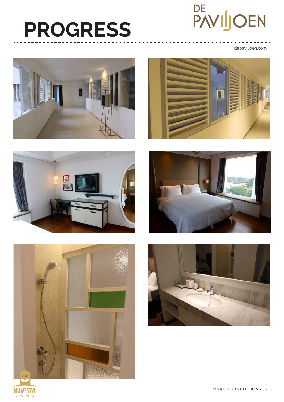# DE<br>PAVIJOEN

## **PROGRESS**

depaviljoen.com











 $\overline{N}$  D

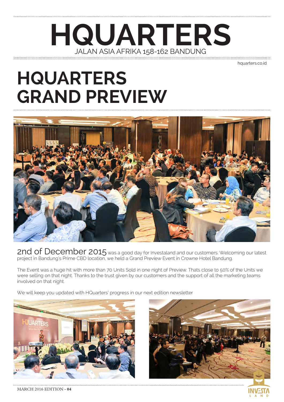#### **HQUARTERS** JALAN ASIA AFRIKA 158-162 BANDUNG

hquarters.co.id

### **HQUARTERS GRAND PREVIEW**



2nd of December 2015 was a good day for Investaland and our customers. Welcoming our latest project in Bandung's Prime CBD location, we held a Grand Preview Event in Crowne Hotel Bandung.

The Event was a huge hit with more than 70 Units Sold in one night of Preview. Thats close to 50% of the Units we were selling on that night. Thanks to the trust given by our customers and the support of all the marketing teams involved on that night.

We will keep you updated with HQuarters' progress in our next edition newsletter



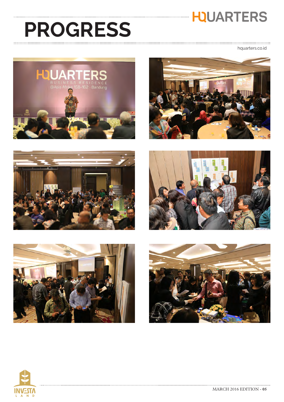#### **HQUARTERS**

## **PROGRESS**

.............................. hquarters.co.id